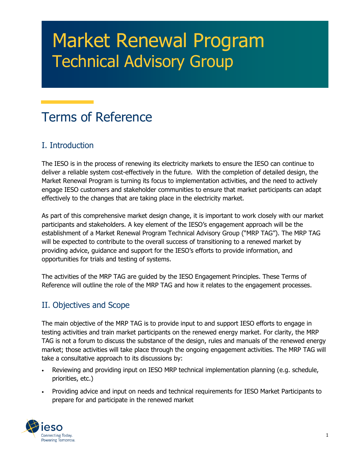# Market Renewal Program Technical Advisory Group

# Terms of Reference

### I. Introduction

The IESO is in the process of renewing its electricity markets to ensure the IESO can continue to deliver a reliable system cost-effectively in the future. With the completion of detailed design, the Market Renewal Program is turning its focus to implementation activities, and the need to actively engage IESO customers and stakeholder communities to ensure that market participants can adapt effectively to the changes that are taking place in the electricity market.

As part of this comprehensive market design change, it is important to work closely with our market participants and stakeholders. A key element of the IESO's engagement approach will be the establishment of a Market Renewal Program Technical Advisory Group ("MRP TAG"). The MRP TAG will be expected to contribute to the overall success of transitioning to a renewed market by providing advice, guidance and support for the IESO's efforts to provide information, and opportunities for trials and testing of systems.

The activities of the MRP TAG are guided by the IESO Engagement Principles. These Terms of Reference will outline the role of the MRP TAG and how it relates to the engagement processes.

## II. Objectives and Scope

The main objective of the MRP TAG is to provide input to and support IESO efforts to engage in testing activities and train market participants on the renewed energy market. For clarity, the MRP TAG is not a forum to discuss the substance of the design, rules and manuals of the renewed energy market; those activities will take place through the ongoing engagement activities. The MRP TAG will take a consultative approach to its discussions by:

- Reviewing and providing input on IESO MRP technical implementation planning (e.g. schedule, priorities, etc.)
- Providing advice and input on needs and technical requirements for IESO Market Participants to prepare for and participate in the renewed market

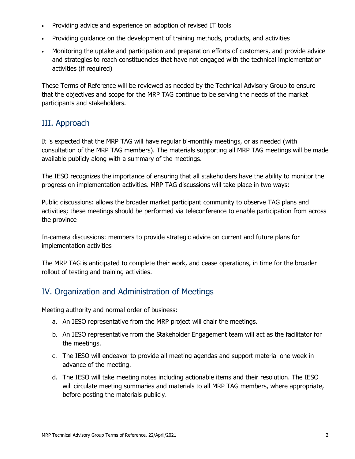- Providing advice and experience on adoption of revised IT tools
- Providing guidance on the development of training methods, products, and activities
- Monitoring the uptake and participation and preparation efforts of customers, and provide advice and strategies to reach constituencies that have not engaged with the technical implementation activities (if required)

These Terms of Reference will be reviewed as needed by the Technical Advisory Group to ensure that the objectives and scope for the MRP TAG continue to be serving the needs of the market participants and stakeholders.

#### III. Approach

It is expected that the MRP TAG will have regular bi-monthly meetings, or as needed (with consultation of the MRP TAG members). The materials supporting all MRP TAG meetings will be made available publicly along with a summary of the meetings.

The IESO recognizes the importance of ensuring that all stakeholders have the ability to monitor the progress on implementation activities. MRP TAG discussions will take place in two ways:

Public discussions: allows the broader market participant community to observe TAG plans and activities; these meetings should be performed via teleconference to enable participation from across the province

In-camera discussions: members to provide strategic advice on current and future plans for implementation activities

The MRP TAG is anticipated to complete their work, and cease operations, in time for the broader rollout of testing and training activities.

#### IV. Organization and Administration of Meetings

Meeting authority and normal order of business:

- a. An IESO representative from the MRP project will chair the meetings.
- b. An IESO representative from the Stakeholder Engagement team will act as the facilitator for the meetings.
- c. The IESO will endeavor to provide all meeting agendas and support material one week in advance of the meeting.
- d. The IESO will take meeting notes including actionable items and their resolution. The IESO will circulate meeting summaries and materials to all MRP TAG members, where appropriate, before posting the materials publicly.